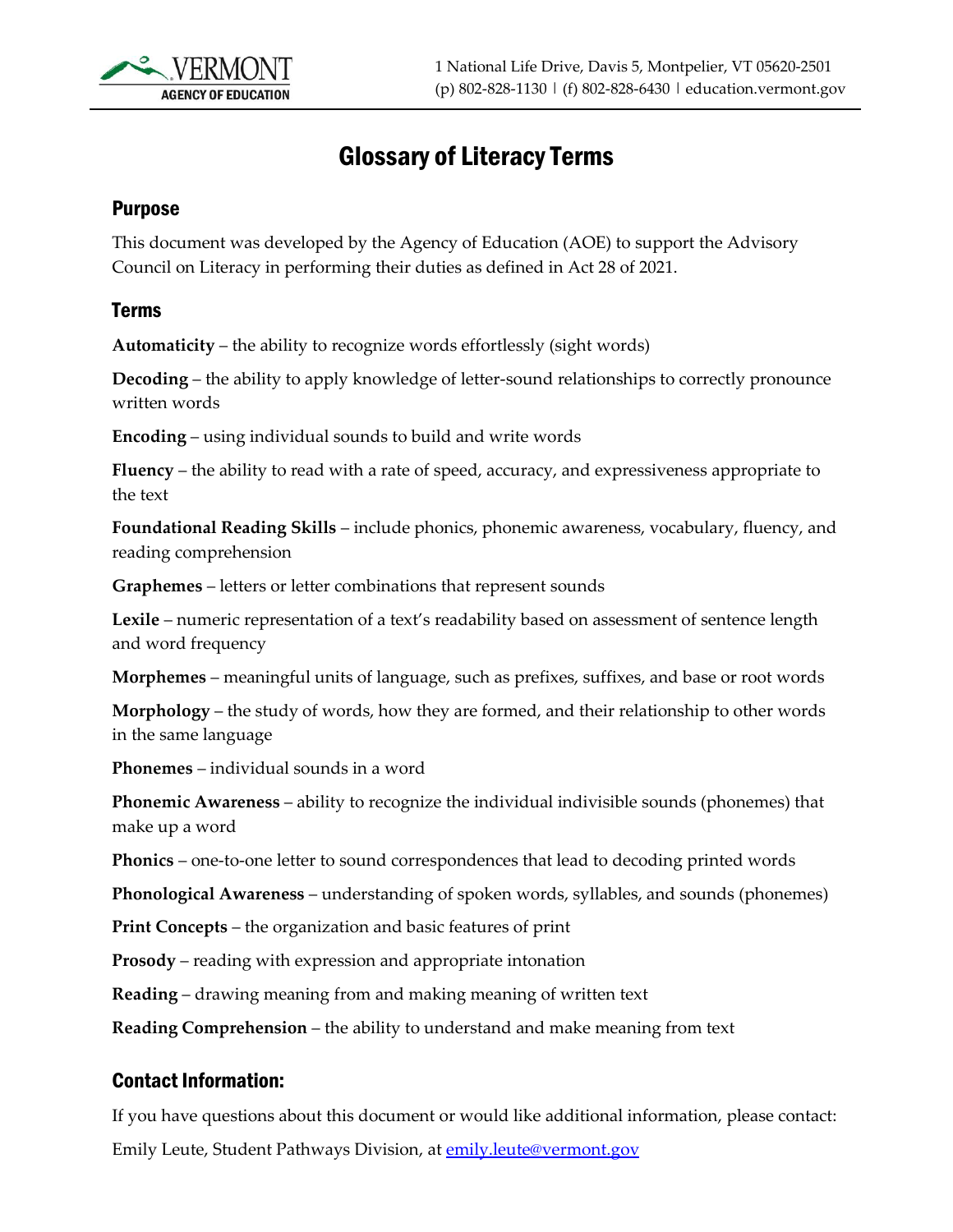

## Glossary of Literacy Terms

## Purpose

This document was developed by the Agency of Education (AOE) to support the Advisory Council on Literacy in performing their duties as defined in Act 28 of 2021.

## Terms

**Automaticity** – the ability to recognize words effortlessly (sight words)

**Decoding** – the ability to apply knowledge of letter-sound relationships to correctly pronounce written words

**Encoding** – using individual sounds to build and write words

**Fluency** – the ability to read with a rate of speed, accuracy, and expressiveness appropriate to the text

**Foundational Reading Skills** – include phonics, phonemic awareness, vocabulary, fluency, and reading comprehension

**Graphemes** – letters or letter combinations that represent sounds

**Lexile** – numeric representation of a text's readability based on assessment of sentence length and word frequency

**Morphemes** – meaningful units of language, such as prefixes, suffixes, and base or root words

**Morphology** – the study of words, how they are formed, and their relationship to other words in the same language

**Phonemes** – individual sounds in a word

**Phonemic Awareness** – ability to recognize the individual indivisible sounds (phonemes) that make up a word

**Phonics** – one-to-one letter to sound correspondences that lead to decoding printed words

**Phonological Awareness** – understanding of spoken words, syllables, and sounds (phonemes)

**Print Concepts** – the organization and basic features of print

**Prosody** – reading with expression and appropriate intonation

**Reading** – drawing meaning from and making meaning of written text

**Reading Comprehension** – the ability to understand and make meaning from text

## Contact Information:

If you have questions about this document or would like additional information, please contact: Emily Leute, Student Pathways Division, at **emily.leute@vermont.gov**